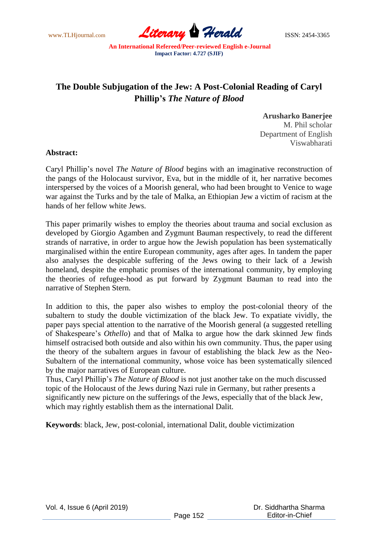www.TLHjournal.com **Literary Herald** ISSN: 2454-3365

## **The Double Subjugation of the Jew: A Post-Colonial Reading of Caryl Phillip's** *The Nature of Blood*

**Arusharko Banerjee**  M. Phil scholar Department of English Viswabharati

## **Abstract:**

Caryl Phillip's novel *The Nature of Blood* begins with an imaginative reconstruction of the pangs of the Holocaust survivor, Eva, but in the middle of it, her narrative becomes interspersed by the voices of a Moorish general, who had been brought to Venice to wage war against the Turks and by the tale of Malka, an Ethiopian Jew a victim of racism at the hands of her fellow white Jews.

This paper primarily wishes to employ the theories about trauma and social exclusion as developed by Giorgio Agamben and Zygmunt Bauman respectively, to read the different strands of narrative, in order to argue how the Jewish population has been systematically marginalised within the entire European community, ages after ages. In tandem the paper also analyses the despicable suffering of the Jews owing to their lack of a Jewish homeland, despite the emphatic promises of the international community, by employing the theories of refugee-hood as put forward by Zygmunt Bauman to read into the narrative of Stephen Stern.

In addition to this, the paper also wishes to employ the post-colonial theory of the subaltern to study the double victimization of the black Jew. To expatiate vividly, the paper pays special attention to the narrative of the Moorish general (a suggested retelling of Shakespeare's *Othello*) and that of Malka to argue how the dark skinned Jew finds himself ostracised both outside and also within his own community. Thus, the paper using the theory of the subaltern argues in favour of establishing the black Jew as the Neo-Subaltern of the international community, whose voice has been systematically silenced by the major narratives of European culture.

Thus, Caryl Phillip's *The Nature of Blood* is not just another take on the much discussed topic of the Holocaust of the Jews during Nazi rule in Germany, but rather presents a significantly new picture on the sufferings of the Jews, especially that of the black Jew, which may rightly establish them as the international Dalit.

**Keywords**: black, Jew, post-colonial, international Dalit, double victimization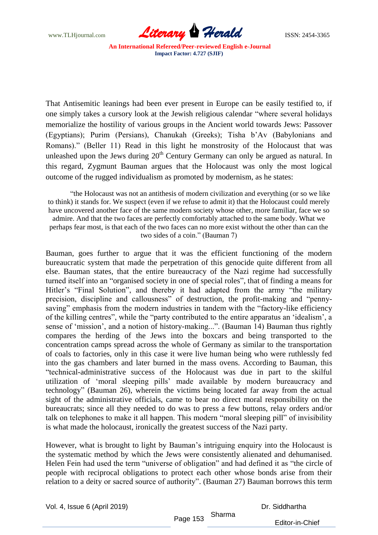www.TLHjournal.com **Literary Herald Herald ISSN: 2454-3365** 

That Antisemitic leanings had been ever present in Europe can be easily testified to, if one simply takes a cursory look at the Jewish religious calendar "where several holidays" memorialize the hostility of various groups in the Ancient world towards Jews: Passover (Egyptians); Purim (Persians), Chanukah (Greeks); Tisha b'Av (Babylonians and Romans)." (Beller 11) Read in this light he monstrosity of the Holocaust that was unleashed upon the Jews during 20<sup>th</sup> Century Germany can only be argued as natural. In this regard, Zygmunt Bauman argues that the Holocaust was only the most logical outcome of the rugged individualism as promoted by modernism, as he states:

―the Holocaust was not an antithesis of modern civilization and everything (or so we like to think) it stands for. We suspect (even if we refuse to admit it) that the Holocaust could merely have uncovered another face of the same modern society whose other, more familiar, face we so admire. And that the two faces are perfectly comfortably attached to the same body. What we perhaps fear most, is that each of the two faces can no more exist without the other than can the two sides of a coin." (Bauman 7)

Bauman, goes further to argue that it was the efficient functioning of the modern bureaucratic system that made the perpetration of this genocide quite different from all else. Bauman states, that the entire bureaucracy of the Nazi regime had successfully turned itself into an "organised society in one of special roles", that of finding a means for Hitler's "Final Solution", and thereby it had adapted from the army "the military precision, discipline and callousness" of destruction, the profit-making and "pennysaving" emphasis from the modern industries in tandem with the "factory-like efficiency of the killing centres", while the "party contributed to the entire apparatus an 'idealism', a sense of 'mission', and a notion of history-making...". (Bauman 14) Bauman thus rightly compares the herding of the Jews into the boxcars and being transported to the concentration camps spread across the whole of Germany as similar to the transportation of coals to factories, only in this case it were live human being who were ruthlessly fed into the gas chambers and later burned in the mass ovens. According to Bauman, this ―technical-administrative success of the Holocaust was due in part to the skilful utilization of ‗moral sleeping pills' made available by modern bureaucracy and technology‖ (Bauman 26), wherein the victims being located far away from the actual sight of the administrative officials, came to bear no direct moral responsibility on the bureaucrats; since all they needed to do was to press a few buttons, relay orders and/or talk on telephones to make it all happen. This modern "moral sleeping pill" of invisibility is what made the holocaust, ironically the greatest success of the Nazi party.

However, what is brought to light by Bauman's intriguing enquiry into the Holocaust is the systematic method by which the Jews were consistently alienated and dehumanised. Helen Fein had used the term "universe of obligation" and had defined it as "the circle of people with reciprocal obligations to protect each other whose bonds arise from their relation to a deity or sacred source of authority". (Bauman 27) Bauman borrows this term

Vol. 4, Issue 6 (April 2019)

Dr. Siddhartha

Page 153 Sharma

Editor-in-Chief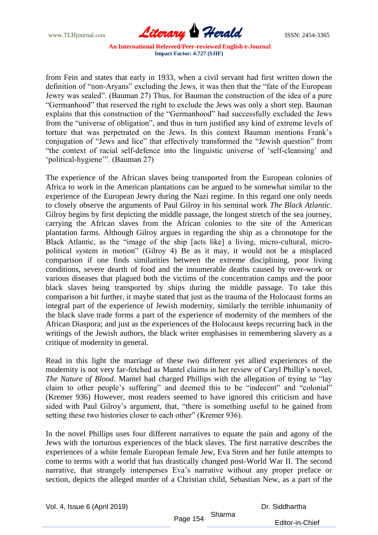

from Fein and states that early in 1933, when a civil servant had first written down the definition of "non-Aryans" excluding the Jews, it was then that the "fate of the European Jewry was sealed". (Bauman 27) Thus, for Bauman the construction of the idea of a pure ―Germanhood‖ that reserved the right to exclude the Jews was only a short step. Bauman explains that this construction of the "Germanhood" had successfully excluded the Jews from the "universe of obligation", and thus in turn justified any kind of extreme levels of torture that was perpetrated on the Jews. In this context Bauman mentions Frank's conjugation of "Jews and lice" that effectively transformed the "Jewish question" from ―the context of racial self-defence into the linguistic universe of ‗self-cleansing' and 'political-hygiene'". (Bauman 27)

The experience of the African slaves being transported from the European colonies of Africa to work in the American plantations can be argued to be somewhat similar to the experience of the European Jewry during the Nazi regime. In this regard one only needs to closely observe the arguments of Paul Gilroy in his seminal work *The Black Atlantic*. Gilroy begins by first depicting the middle passage, the longest stretch of the sea journey, carrying the African slaves from the African colonies to the site of the American plantation farms. Although Gilroy argues in regarding the ship as a chronotope for the Black Atlantic, as the "image of the ship [acts like] a living, micro-cultural, micropolitical system in motion" (Gilroy 4) Be as it may, it would not be a misplaced comparison if one finds similarities between the extreme disciplining, poor living conditions, severe dearth of food and the innumerable deaths caused by over-work or various diseases that plagued both the victims of the concentration camps and the poor black slaves being transported by ships during the middle passage. To take this comparison a bit further, it maybe stated that just as the trauma of the Holocaust forms an integral part of the experience of Jewish modernity, similarly the terrible inhumanity of the black slave trade forms a part of the experience of modernity of the members of the African Diaspora; and just as the experiences of the Holocaust keeps recurring back in the writings of the Jewish authors, the black writer emphasises in remembering slavery as a critique of modernity in general.

Read in this light the marriage of these two different yet allied experiences of the modernity is not very far-fetched as Mantel claims in her review of Caryl Phillip's novel, *The Nature of Blood.* Mantel had charged Phillips with the allegation of trying to "lay" claim to other people's suffering" and deemed this to be "indecent" and "colonial" (Kremer 936) However, most readers seemed to have ignored this criticism and have sided with Paul Gilroy's argument, that, "there is something useful to be gained from setting these two histories closer to each other" (Kremer 936).

In the novel Phillips uses four different narratives to equate the pain and agony of the Jews with the torturous experiences of the black slaves. The first narrative describes the experiences of a white female European female Jew, Eva Stren and her futile attempts to come to terms with a world that has drastically changed post-World War II. The second narrative, that strangely intersperses Eva's narrative without any proper preface or section, depicts the alleged murder of a Christian child, Sebastian New, as a part of the

Vol. 4, Issue 6 (April 2019) Page 154 Dr. Siddhartha Sharma Editor-in-Chief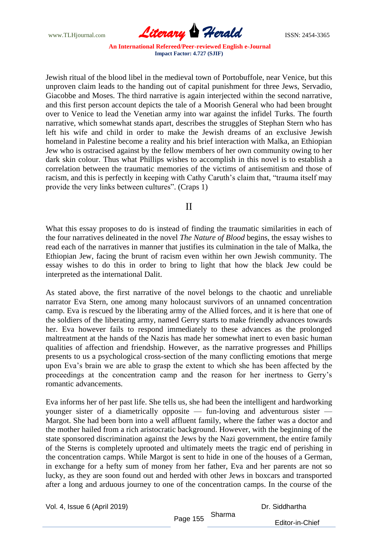www.TLHjournal.com **Literary Herald ISSN: 2454-3365** 

Jewish ritual of the blood libel in the medieval town of Portobuffole, near Venice, but this unproven claim leads to the handing out of capital punishment for three Jews, Servadio, Giacobbe and Moses. The third narrative is again interjected within the second narrative, and this first person account depicts the tale of a Moorish General who had been brought over to Venice to lead the Venetian army into war against the infidel Turks. The fourth narrative, which somewhat stands apart, describes the struggles of Stephan Stern who has left his wife and child in order to make the Jewish dreams of an exclusive Jewish homeland in Palestine become a reality and his brief interaction with Malka, an Ethiopian Jew who is ostracised against by the fellow members of her own community owing to her dark skin colour. Thus what Phillips wishes to accomplish in this novel is to establish a correlation between the traumatic memories of the victims of antisemitism and those of racism, and this is perfectly in keeping with Cathy Caruth's claim that, "trauma itself may provide the very links between cultures". (Craps 1)

## II

What this essay proposes to do is instead of finding the traumatic similarities in each of the four narratives delineated in the novel *The Nature of Blood* begins, the essay wishes to read each of the narratives in manner that justifies its culmination in the tale of Malka, the Ethiopian Jew, facing the brunt of racism even within her own Jewish community. The essay wishes to do this in order to bring to light that how the black Jew could be interpreted as the international Dalit.

As stated above, the first narrative of the novel belongs to the chaotic and unreliable narrator Eva Stern, one among many holocaust survivors of an unnamed concentration camp. Eva is rescued by the liberating army of the Allied forces, and it is here that one of the soldiers of the liberating army, named Gerry starts to make friendly advances towards her. Eva however fails to respond immediately to these advances as the prolonged maltreatment at the hands of the Nazis has made her somewhat inert to even basic human qualities of affection and friendship. However, as the narrative progresses and Phillips presents to us a psychological cross-section of the many conflicting emotions that merge upon Eva's brain we are able to grasp the extent to which she has been affected by the proceedings at the concentration camp and the reason for her inertness to Gerry's romantic advancements.

Eva informs her of her past life. She tells us, she had been the intelligent and hardworking younger sister of a diametrically opposite — fun-loving and adventurous sister — Margot. She had been born into a well affluent family, where the father was a doctor and the mother hailed from a rich aristocratic background. However, with the beginning of the state sponsored discrimination against the Jews by the Nazi government, the entire family of the Sterns is completely uprooted and ultimately meets the tragic end of perishing in the concentration camps. While Margot is sent to hide in one of the houses of a German, in exchange for a hefty sum of money from her father, Eva and her parents are not so lucky, as they are soon found out and herded with other Jews in boxcars and transported after a long and arduous journey to one of the concentration camps. In the course of the

Vol. 4, Issue 6 (April 2019)

Dr. Siddhartha

Page 155 Sharma

Editor-in-Chief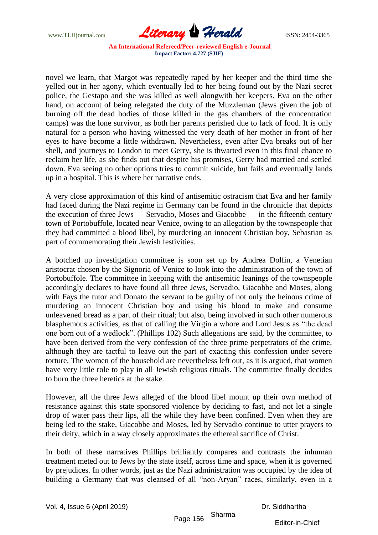www.TLHjournal.com **Literary Herald ISSN: 2454-3365** 

novel we learn, that Margot was repeatedly raped by her keeper and the third time she yelled out in her agony, which eventually led to her being found out by the Nazi secret police, the Gestapo and she was killed as well alongwith her keepers. Eva on the other hand, on account of being relegated the duty of the Muzzleman (Jews given the job of burning off the dead bodies of those killed in the gas chambers of the concentration camps) was the lone survivor, as both her parents perished due to lack of food. It is only natural for a person who having witnessed the very death of her mother in front of her eyes to have become a little withdrawn. Nevertheless, even after Eva breaks out of her shell, and journeys to London to meet Gerry, she is thwarted even in this final chance to reclaim her life, as she finds out that despite his promises, Gerry had married and settled down. Eva seeing no other options tries to commit suicide, but fails and eventually lands up in a hospital. This is where her narrative ends.

A very close approximation of this kind of antisemitic ostracism that Eva and her family had faced during the Nazi regime in Germany can be found in the chronicle that depicts the execution of three Jews — Servadio, Moses and Giacobbe — in the fifteenth century town of Portobuffole, located near Venice, owing to an allegation by the townspeople that they had committed a blood libel, by murdering an innocent Christian boy, Sebastian as part of commemorating their Jewish festivities.

A botched up investigation committee is soon set up by Andrea Dolfin, a Venetian aristocrat chosen by the Signoria of Venice to look into the administration of the town of Portobuffole. The committee in keeping with the antisemitic leanings of the townspeople accordingly declares to have found all three Jews, Servadio, Giacobbe and Moses, along with Fays the tutor and Donato the servant to be guilty of not only the heinous crime of murdering an innocent Christian boy and using his blood to make and consume unleavened bread as a part of their ritual; but also, being involved in such other numerous blasphemous activities, as that of calling the Virgin a whore and Lord Jesus as "the dead one born out of a wedlock". (Phillips 102) Such allegations are said, by the committee, to have been derived from the very confession of the three prime perpetrators of the crime, although they are tactful to leave out the part of exacting this confession under severe torture. The women of the household are nevertheless left out, as it is argued, that women have very little role to play in all Jewish religious rituals. The committee finally decides to burn the three heretics at the stake.

However, all the three Jews alleged of the blood libel mount up their own method of resistance against this state sponsored violence by deciding to fast, and not let a single drop of water pass their lips, all the while they have been confined. Even when they are being led to the stake, Giacobbe and Moses, led by Servadio continue to utter prayers to their deity, which in a way closely approximates the ethereal sacrifice of Christ.

In both of these narratives Phillips brilliantly compares and contrasts the inhuman treatment meted out to Jews by the state itself, across time and space, when it is governed by prejudices. In other words, just as the Nazi administration was occupied by the idea of building a Germany that was cleansed of all "non-Aryan" races, similarly, even in a

| Vol. 4, Issue 6 (April 2019) |          | Sharma | Dr. Siddhartha  |
|------------------------------|----------|--------|-----------------|
|                              | Page 156 |        | Editor-in-Chief |